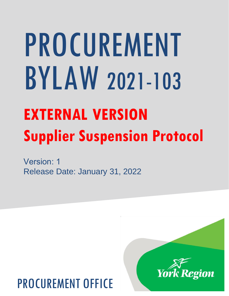# PROCUREMENT BYLAW 2021-103

# **EXTERNAL VERSION Supplier Suspension Protocol**

Version: 1 Release Date: January 31, 2022

## PROCUREMENT OFFICE

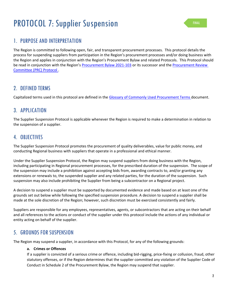## PROTOCOL 7: Supplier Suspension

#### 1. PURPOSE AND INTERPRETATION

The Region is committed to following open, fair, and transparent procurement processes. This protocol details the process for suspending suppliers from participation in the Region's procurement processes and/or doing business with the Region and applies in conjunction with the Region's Procurement Bylaw and related Protocols. This Protocol should be read in conjunction with the Region's Procurement Bylaw 2021-103 or its successor and the Procurement Review Committee (PRC) Protocol .

#### 2. DEFINED TERMS

Capitalized terms used in this protocol are defined in the [Glossary of Commonly Used Procurement Terms d](http://mynetwork.york.ca/edocs.asp?id=13106403)ocument.

#### 3. APPLICATION

The Supplier Suspension Protocol is applicable whenever the Region is required to make a determination in relation to the suspension of a supplier.

#### 4. OBJECTIVES

The Supplier Suspension Protocol promotes the procurement of quality deliverables, value for public money, and conducting Regional business with suppliers that operate in a professional and ethical manner.

Under the Supplier Suspension Protocol, the Region may suspend suppliers from doing business with the Region, including participating in Regional procurement processes, for the prescribed duration of the suspension. The scope of the suspension may include a prohibition against accepting bids from, awarding contracts to, and/or granting any extensions or renewals to, the suspended supplier and any related parties, for the duration of the suspension. Such suspension may also include prohibiting the Supplier from being a subcontractor on a Regional project.

A decision to suspend a supplier must be supported by documented evidence and made based on at least one of the grounds set out below while following the specified suspension procedure. A decision to suspend a supplier shall be made at the sole discretion of the Region; however, such discretion must be exercised consistently and fairly.

Suppliers are responsible for any employees, representatives, agents, or subcontractors that are acting on their behalf and all references to the actions or conduct of the supplier under this protocol include the actions of any individual or entity acting on behalf of the supplier.

#### 5. GROUNDS FOR SUSPENSION

The Region may suspend a supplier, in accordance with this Protocol, for any of the following grounds:

#### **a. Crimes or Offences**

If a supplier is convicted of a serious crime or offence, including bid-rigging, price-fixing or collusion, fraud, other statutory offenses, or if the Region determines that the supplier committed any violation of the Supplier Code of Conduct in Schedule 2 of the Procurement Bylaw, the Region may suspend that supplier.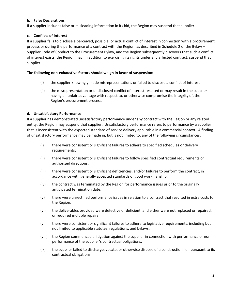#### **b. False Declarations**

If a supplier includes false or misleading information in its bid, the Region may suspend that supplier.

#### **c. Conflicts of Interest**

If a supplier fails to disclose a perceived, possible, or actual conflict of interest in connection with a procurement process or during the performance of a contract with the Region, as described in Schedule 2 of the Bylaw – Supplier Code of Conduct to the Procurement Bylaw, and the Region subsequently discovers that such a conflict of interest exists, the Region may, in addition to exercising its rights under any affected contract, suspend that supplier.

#### **The following non-exhaustive factors should weigh in favor of suspension:**

- (i) the supplier knowingly made misrepresentations or failed to disclose a conflict of interest
- (ii) the misrepresentation or undisclosed conflict of interest resulted or may result in the supplier having an unfair advantage with respect to, or otherwise compromise the integrity of, the Region's procurement process.

#### **d. Unsatisfactory Performance**

If a supplier has demonstrated unsatisfactory performance under any contract with the Region or any related entity, the Region may suspend that supplier. Unsatisfactory performance refers to performance by a supplier that is inconsistent with the expected standard of service delivery applicable in a commercial context. A finding of unsatisfactory performance may be made in, but is not limited to, any of the following circumstances:

- (i) there were consistent or significant failures to adhere to specified schedules or delivery requirements;
- (ii) there were consistent or significant failures to follow specified contractual requirements or authorized directions;
- (iii) there were consistent or significant deficiencies, and/or failures to perform the contract, in accordance with generally accepted standards of good workmanship;
- (iv) the contract was terminated by the Region for performance issues prior to the originally anticipated termination date;
- (v) there were unrectified performance issues in relation to a contract that resulted in extra costs to the Region;
- (vi) the deliverables provided were defective or deficient, and either were not replaced or repaired, or required multiple repairs;
- (vii) there were consistent or significant failures to adhere to legislative requirements, including but not limited to applicable statutes, regulations, and bylaws;
- (viii) the Region commenced a litigation against the supplier in connection with performance or nonperformance of the supplier's contractual obligations;
- (ix) the supplier failed to discharge, vacate, or otherwise dispose of a construction lien pursuant to its contractual obligations.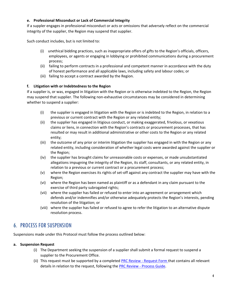#### **e. Professional Misconduct or Lack of Commercial Integrity**

If a suppler engages in professional misconduct or acts or omissions that adversely reflect on the commercial integrity of the supplier, the Region may suspend that supplier.

Such conduct includes, but is not limited to:

- (i) unethical bidding practices, such as inappropriate offers of gifts to the Region's officials, officers, employees, or agents or engaging in lobbying or prohibited communications during a procurement process;
- (ii) failing to perform contracts in a professional and competent manner in accordance with the duty of honest performance and all applicable laws, including safety and labour codes; or
- (iii) failing to accept a contract awarded by the Region.

#### **f. Litigation with or Indebtedness to the Region**

If a supplier is, or was, engaged in litigation with the Region or is otherwise indebted to the Region, the Region may suspend that supplier. The following non-exhaustive circumstances may be considered in determining whether to suspend a supplier:

- (i) the supplier is engaged in litigation with the Region or is indebted to the Region, in relation to a previous or current contract with the Region or any related entity;
- (ii) the supplier has engaged in litigious conduct, or making exaggerated, frivolous, or vexatious claims or liens, in connection with the Region's contracts or procurement processes, that has resulted or may result in additional administrative or other costs to the Region or any related entity;
- (iii) the outcome of any prior or interim litigation the supplier has engaged in with the Region or any related entity, including consideration of whether legal costs were awarded against the supplier or the Region;
- (iv) the supplier has brought claims for unreasonable costs or expenses, or made unsubstantiated allegations impugning the integrity of the Region, its staff, consultants, or any related entity, in relation to a previous or current contract or a procurement process;
- (v) where the Region exercises its rights of set-off against any contract the supplier may have with the Region;
- (vi) where the Region has been named as plaintiff or as a defendant in any claim pursuant to the exercise of third party subrogated rights;
- (vii) where the supplier has failed or refused to enter into an agreement or arrangement which defends and/or indemnifies and/or otherwise adequately protects the Region's interests, pending resolution of the litigation; or
- (viii) where the supplier has failed or refused to agree to refer the litigation to an alternative dispute resolution process.

#### 6. PROCESS FOR SUSPENSION

Suspensions made under this Protocol must follow the process outlined below:

#### **a. Suspension Request**

- (i) The Department seeking the suspension of a supplier shall submit a formal request to suspend a supplier to the Procurement Office.
- (ii) This request must be supported by a completed PRC Review [Request Form](https://forms.office.com/Pages/ResponsePage.aspx?id=a-nB5Qs8mkSTC49aj271YqpSzoHQXiVCsQTytVdgRHVUMjA3UDlKSElKOVdOV0lETlM3NFJXSTk0Uy4u) that contains all relevant details in relation to the request, following the PRC Review - [Process Guide.](http://mynetwork.york.ca/edocs.asp?id=13662980)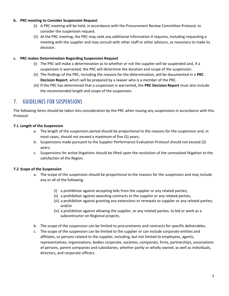#### **b. PRC meeting to Consider Suspension Request**

- (i) A PRC meeting will be held, in accordance with the Procurement Review Committee Protocol, to consider the suspension request.
- (ii) At the PRC meeting, the PRC may seek any additional information it requires, including requesting a meeting with the supplier and may consult with other staff or other advisors, as necessary to make its decision.

#### **c. PRC makes Determination Regarding Suspension Request**

- (i) The PRC will make a determination as to whether or not the supplier will be suspended and, if a suspension is warranted, the PRC will determine the duration and scope of the suspension.
- (ii) The findings of the PRC, including the reasons for the determination, will be documented in a **PRC Decision Report**, which will be prepared by a lawyer who is a member of the PRC.
- (iii) If the PRC has determined that a suspension is warranted, the **PRC Decision Report** must also include the recommended length and scope of the suspension.

#### 7. GUIDELINES FOR SUSPENSIONS

The following items should be taken into consideration by the PRC when issuing any suspensions in accordance with this Protocol:

#### **7.1 Length of the Suspension**

- a. The length of the suspension period should be proportional to the reasons for the suspension and, in most cases, should not exceed a maximum of five (5) years;
- b. Suspensions made pursuant to the Supplier Performance Evaluation Protocol should not exceed (3) years;
- c. Suspensions for active litigations should be lifted upon the resolution of the unresolved litigation to the satisfaction of the Region.

#### **7.2 Scope of the Suspension**

- a. The scope of the suspension should be proportional to the reasons for the suspension and may include any or all of the following:
	- (i) a prohibition against accepting bids from the supplier or any related parties;
	- (ii) a prohibition against awarding contracts to the supplier or any related parties;
	- (iii) a prohibition against granting any extensions or renewals to supplier or any related parties; and/or
	- (iv) a prohibition against allowing the supplier, or any related parties, to bid or work as a subcontractor on Regional projects.
- b. The scope of the suspension can be limited to procurements and contracts for specific deliverables.
- c. The scope of the suspension can be limited to the supplier or can include corporate entities and affiliates, or persons related to the supplier, including, but not limited to employees, agents, representatives, organizations, bodies corporate, societies, companies, firms, partnerships, associations of persons, parent companies and subsidiaries, whether partly or wholly owned, as well as individuals, directors, and corporate officers.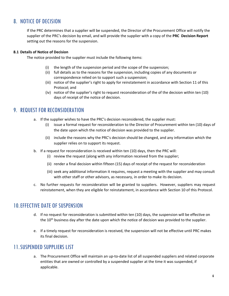#### 8. NOTICE OF DECISION

If the PRC determines that a supplier will be suspended, the Director of the Procurement Office will notify the supplier of the PRC's decision by email, and will provide the supplier with a copy of the **PRC Decision Report** setting out the reasons for the suspension.

#### **8.1 Details of Notice of Decision**

The notice provided to the supplier must include the following items:

- (i) the length of the suspension period and the scope of the suspension;
- (ii) full details as to the reasons for the suspension, including copies of any documents or correspondence relied on to support such a suspension;
- (iii) notice of the supplier's right to apply for reinstatement in accordance with Section 11 of this Protocol; and
- (iv) notice of the supplier's right to request reconsideration of the of the decision within ten (10) days of receipt of the notice of decision.

#### 9. REQUEST FOR RECONSIDERATION

- a. If the supplier wishes to have the PRC's decision reconsidered, the supplier must:
	- (i) issue a formal request for reconsideration to the Director of Procurement within ten (10) days of the date upon which the notice of decision was provided to the supplier.
	- (ii) include the reasons why the PRC's decision should be changed, and any information which the supplier relies on to support its request.
- b. If a request for reconsideration is received within ten (10) days, then the PRC will:
	- (i) review the request (along with any information received from the supplier;
	- (ii) render a final decision within fifteen (15) days of receipt of the request for reconsideration
	- (iii) seek any additional information it requires, request a meeting with the supplier and may consult with other staff or other advisors, as necessary, in order to make its decision.
- c. No further requests for reconsideration will be granted to suppliers. However, suppliers may request reinstatement, when they are eligible for reinstatement, in accordance with Section 10 of this Protocol.

#### 10.EFFECTIVE DATE OF SUSPENSION

- d. If no request for reconsideration is submitted within ten (10) days, the suspension will be effective on the  $10<sup>th</sup>$  business day after the date upon which the notice of decision was provided to the supplier.
- e. If a timely request for reconsideration is received, the suspension will not be effective until PRC makes its final decision.

#### 11.SUSPENDED SUPPLIERS LIST

a. The Procurement Office will maintain an up-to-date list of all suspended suppliers and related corporate entities that are owned or controlled by a suspended supplier at the time it was suspended, if applicable.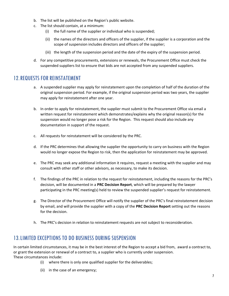- b. The list will be published on the Region's public website.
- c. The list should contain, at a minimum:
	- (i) the full name of the supplier or individual who is suspended;
	- (ii) the names of the directors and officers of the supplier, if the supplier is a corporation and the scope of suspension includes directors and officers of the supplier;
	- (iii) the length of the suspension period and the date of the expiry of the suspension period.
- d. For any competitive procurements, extensions or renewals, the Procurement Office must check the suspended suppliers list to ensure that bids are not accepted from any suspended suppliers.

#### 12.REQUESTS FOR REINSTATEMENT

- a. A suspended supplier may apply for reinstatement upon the completion of half of the duration of the original suspension period. For example, if the original suspension period was two years, the supplier may apply for reinstatement after one year.
- b. In order to apply for reinstatement, the supplier must submit to the Procurement Office via email a written request for reinstatement which demonstrates/explains why the original reason(s) for the suspension would no longer pose a risk for the Region. This request should also include any documentation in support of the request.
- c. All requests for reinstatement will be considered by the PRC.
- d. If the PRC determines that allowing the supplier the opportunity to carry on business with the Region would no longer expose the Region to risk, then the application for reinstatement may be approved.
- e. The PRC may seek any additional information it requires, request a meeting with the supplier and may consult with other staff or other advisors, as necessary, to make its decision.
- f. The findings of the PRC in relation to the request for reinstatement, including the reasons for the PRC's decision, will be documented in a **PRC Decision Report**, which will be prepared by the lawyer participating in the PRC meeting(s) held to review the suspended supplier's request for reinstatement.
- g. The Director of the Procurement Office will notify the supplier of the PRC's final reinstatement decision by email, and will provide the supplier with a copy of the **PRC Decision Report** setting out the reasons for the decision.
- h. The PRC's decision in relation to reinstatement requests are not subject to reconsideration.

#### 13.LIMITED EXCEPTIONS TO DO BUSINESS DURING SUSPENSION

In certain limited circumstances, it may be in the best interest of the Region to accept a bid from, award a contract to, or grant the extension or renewal of a contract to, a supplier who is currently under suspension. These circumstances include:

- (i) where there is only one qualified supplier for the deliverables;
- (ii) in the case of an emergency;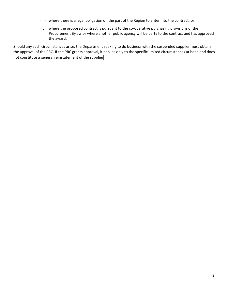- (iii) where there is a legal obligation on the part of the Region to enter into the contract; or
- (iv) where the proposed contract is pursuant to the co-operative purchasing provisions of the Procurement Bylaw or where another public agency will be party to the contract and has approved the award.

Should any such circumstances arise, the Department seeking to do business with the suspended supplier must obtain the approval of the PRC. If the PRC grants approval, it applies only to the specific limited circumstances at hand and does not constitute a general reinstatement of the supplier